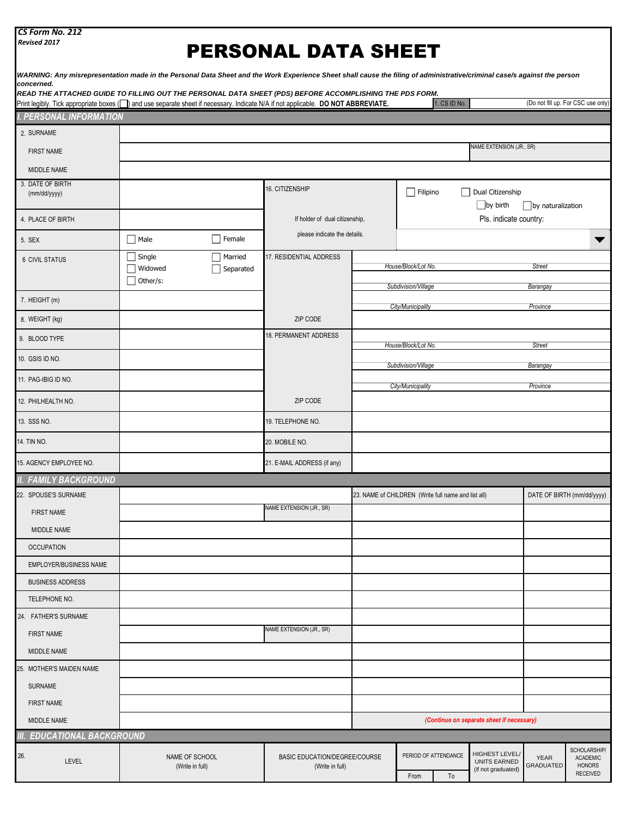| CS Form No. 212 |  |
|-----------------|--|
|-----------------|--|

*Revised 2017*

## PERSONAL DATA SHEET

| WARNING: Any misrepresentation made in the Personal Data Sheet and the Work Experience Sheet shall cause the filing of administrative/criminal case/s against the person<br>concerned.                                                       |                                   |                      |                                                  |                                                     |                                            |                            |                                                             |                           |                                                                     |
|----------------------------------------------------------------------------------------------------------------------------------------------------------------------------------------------------------------------------------------------|-----------------------------------|----------------------|--------------------------------------------------|-----------------------------------------------------|--------------------------------------------|----------------------------|-------------------------------------------------------------|---------------------------|---------------------------------------------------------------------|
| READ THE ATTACHED GUIDE TO FILLING OUT THE PERSONAL DATA SHEET (PDS) BEFORE ACCOMPLISHING THE PDS FORM.<br>Print legibly. Tick appropriate boxes ( ) and use separate sheet if necessary. Indicate N/A if not applicable. DO NOT ABBREVIATE. |                                   |                      |                                                  |                                                     |                                            | 1. CS ID No.               |                                                             |                           | (Do not fill up. For CSC use only)                                  |
| <b>PERSONAL INFORMATION</b>                                                                                                                                                                                                                  |                                   |                      |                                                  |                                                     |                                            |                            |                                                             |                           |                                                                     |
| 2. SURNAME                                                                                                                                                                                                                                   |                                   |                      |                                                  |                                                     |                                            |                            |                                                             |                           |                                                                     |
| <b>FIRST NAME</b>                                                                                                                                                                                                                            |                                   |                      |                                                  |                                                     |                                            |                            | NAME EXTENSION (JR., SR)                                    |                           |                                                                     |
| MIDDLE NAME                                                                                                                                                                                                                                  |                                   |                      |                                                  |                                                     |                                            |                            |                                                             |                           |                                                                     |
| 3. DATE OF BIRTH<br>(mm/dd/yyyy)                                                                                                                                                                                                             |                                   |                      | 16. CITIZENSHIP                                  |                                                     | $\Box$ Filipino                            | $\Box$                     | Dual Citizenship<br>$\Box$ by birth                         |                           |                                                                     |
| 4. PLACE OF BIRTH                                                                                                                                                                                                                            |                                   |                      | If holder of dual citizenship,                   |                                                     |                                            |                            | Pls. indicate country:                                      | by naturalization         |                                                                     |
| 5. SEX                                                                                                                                                                                                                                       | $\Box$ Male                       | $\Box$ Female        | please indicate the details.                     |                                                     |                                            |                            |                                                             |                           | ▼                                                                   |
| <b>6 CIVIL STATUS</b>                                                                                                                                                                                                                        | Single<br>Widowed<br>Other/s:     | Married<br>Separated | 17. RESIDENTIAL ADDRESS                          |                                                     | House/Block/Lot No.<br>Subdivision/Village |                            |                                                             | <b>Street</b><br>Barangay |                                                                     |
| 7. HEIGHT (m)                                                                                                                                                                                                                                |                                   |                      |                                                  |                                                     | City/Municipality                          |                            |                                                             | Province                  |                                                                     |
| 8. WEIGHT (kg)                                                                                                                                                                                                                               |                                   |                      | ZIP CODE                                         |                                                     |                                            |                            |                                                             |                           |                                                                     |
| 9. BLOOD TYPE                                                                                                                                                                                                                                |                                   |                      | 18. PERMANENT ADDRESS                            |                                                     | House/Block/Lot No.                        |                            |                                                             | <b>Street</b>             |                                                                     |
| 10. GSIS ID NO.                                                                                                                                                                                                                              |                                   |                      |                                                  |                                                     | Subdivision/Village                        |                            |                                                             | Barangay                  |                                                                     |
| 11. PAG-IBIG ID NO.                                                                                                                                                                                                                          |                                   |                      |                                                  |                                                     | City/Municipality                          |                            |                                                             | Province                  |                                                                     |
| 12. PHILHEALTH NO.                                                                                                                                                                                                                           |                                   |                      | ZIP CODE                                         |                                                     |                                            |                            |                                                             |                           |                                                                     |
| 13. SSS NO.                                                                                                                                                                                                                                  |                                   |                      | 19. TELEPHONE NO.                                |                                                     |                                            |                            |                                                             |                           |                                                                     |
| 14. TIN NO.                                                                                                                                                                                                                                  |                                   |                      | 20. MOBILE NO.                                   |                                                     |                                            |                            |                                                             |                           |                                                                     |
| 15. AGENCY EMPLOYEE NO.                                                                                                                                                                                                                      |                                   |                      | 21. E-MAIL ADDRESS (if any)                      |                                                     |                                            |                            |                                                             |                           |                                                                     |
| II. FAMILY BACKGROUND                                                                                                                                                                                                                        |                                   |                      |                                                  |                                                     |                                            |                            |                                                             |                           |                                                                     |
| 22. SPOUSE'S SURNAME                                                                                                                                                                                                                         |                                   |                      |                                                  | 23. NAME of CHILDREN (Write full name and list all) |                                            |                            |                                                             |                           | DATE OF BIRTH (mm/dd/yyyy)                                          |
| <b>FIRST NAME</b>                                                                                                                                                                                                                            |                                   |                      | NAME EXTENSION (JR., SR)                         |                                                     |                                            |                            |                                                             |                           |                                                                     |
| MIDDLE NAME                                                                                                                                                                                                                                  |                                   |                      |                                                  |                                                     |                                            |                            |                                                             |                           |                                                                     |
| <b>OCCUPATION</b>                                                                                                                                                                                                                            |                                   |                      |                                                  |                                                     |                                            |                            |                                                             |                           |                                                                     |
| EMPLOYER/BUSINESS NAME                                                                                                                                                                                                                       |                                   |                      |                                                  |                                                     |                                            |                            |                                                             |                           |                                                                     |
| <b>BUSINESS ADDRESS</b>                                                                                                                                                                                                                      |                                   |                      |                                                  |                                                     |                                            |                            |                                                             |                           |                                                                     |
| TELEPHONE NO.                                                                                                                                                                                                                                |                                   |                      |                                                  |                                                     |                                            |                            |                                                             |                           |                                                                     |
| 24. FATHER'S SURNAME                                                                                                                                                                                                                         |                                   |                      |                                                  |                                                     |                                            |                            |                                                             |                           |                                                                     |
| <b>FIRST NAME</b>                                                                                                                                                                                                                            |                                   |                      | NAME EXTENSION (JR., SR)                         |                                                     |                                            |                            |                                                             |                           |                                                                     |
| MIDDLE NAME                                                                                                                                                                                                                                  |                                   |                      |                                                  |                                                     |                                            |                            |                                                             |                           |                                                                     |
| 25. MOTHER'S MAIDEN NAME                                                                                                                                                                                                                     |                                   |                      |                                                  |                                                     |                                            |                            |                                                             |                           |                                                                     |
| <b>SURNAME</b>                                                                                                                                                                                                                               |                                   |                      |                                                  |                                                     |                                            |                            |                                                             |                           |                                                                     |
| <b>FIRST NAME</b>                                                                                                                                                                                                                            |                                   |                      |                                                  |                                                     |                                            |                            |                                                             |                           |                                                                     |
| MIDDLE NAME                                                                                                                                                                                                                                  |                                   |                      |                                                  |                                                     |                                            |                            | (Continue on separate sheet if necessary)                   |                           |                                                                     |
| III. EDUCATIONAL BACKGROUND                                                                                                                                                                                                                  |                                   |                      |                                                  |                                                     |                                            |                            |                                                             |                           |                                                                     |
| 26.<br><b>LEVEL</b>                                                                                                                                                                                                                          | NAME OF SCHOOL<br>(Write in full) |                      | BASIC EDUCATION/DEGREE/COURSE<br>(Write in full) |                                                     | From                                       | PERIOD OF ATTENDANCE<br>To | HIGHEST LEVEL/<br><b>UNITS EARNED</b><br>(if not graduated) | <b>YEAR</b><br>GRADUATED  | SCHOLARSHIP/<br><b>ACADEMIC</b><br><b>HONORS</b><br><b>RECEIVED</b> |